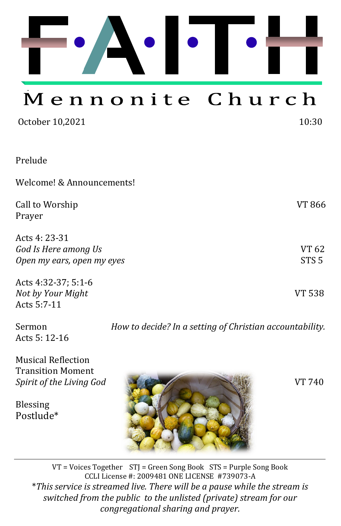

# Mennonite Church

| October 10,2021                                                     | 10:30                     |
|---------------------------------------------------------------------|---------------------------|
| Prelude                                                             |                           |
| Welcome! & Announcements!                                           |                           |
| Call to Worship<br>Prayer                                           | VT 866                    |
| Acts 4: 23-31<br>God Is Here among Us<br>Open my ears, open my eyes | VT 62<br>STS <sub>5</sub> |
| Acts 4:32-37; 5:1-6<br>Not by Your Might<br>Acts 5:7-11             | VT 538                    |

Acts 5: 12-16

Sermon *How to decide? In a setting of Christian accountability.*

Musical Reflection Transition Moment

Blessing Postlude\*



VT = Voices Together STJ = Green Song Book STS = Purple Song Book CCLI License #: 2009481 ONE LICENSE #739073-A \**This service is streamed live. There will be a pause while the stream is switched from the public to the unlisted (private) stream for our congregational sharing and prayer.*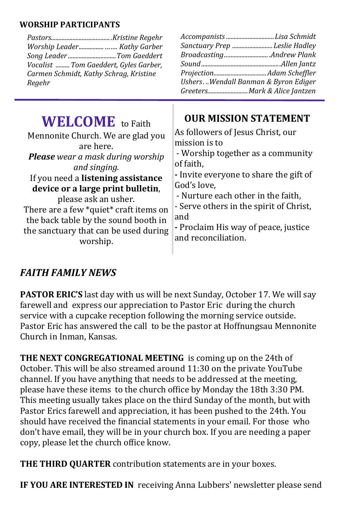#### **WORSHIP PARTICIPANTS**

| Worship Leader  Kathy Garber<br>Song LeaderTom Gaeddert<br>Vocalist  Tom Gaeddert, Gyles Garber,<br>Carmen Schmidt, Kathy Schrag, Kristine<br>Regehr | Accompanists Lisa Schmidt<br>Sanctuary Prep Leslie Hadley<br>BroadcastingAndrew Plank<br>Ushers. Wendall Banman & Byron Ediger<br>GreetersMark & Alice Jantzen |
|------------------------------------------------------------------------------------------------------------------------------------------------------|----------------------------------------------------------------------------------------------------------------------------------------------------------------|
| <b>WELCOME</b> to Faith                                                                                                                              | <b>OUR MISSION STATEMENT</b>                                                                                                                                   |
| Mennonite Church. We are glad you                                                                                                                    | As followers of Jesus Christ, our                                                                                                                              |
| are here.                                                                                                                                            | mission is to                                                                                                                                                  |
| <b>Please</b> wear a mask during worship                                                                                                             | - Worship together as a community                                                                                                                              |
| and singing.                                                                                                                                         | of faith,                                                                                                                                                      |
| If you need a listening assistance                                                                                                                   | - Invite everyone to share the gift of                                                                                                                         |
| device or a large print bulletin,                                                                                                                    | God's love,                                                                                                                                                    |
| please ask an usher.                                                                                                                                 | - Nurture each other in the faith,                                                                                                                             |
| There are a few *quiet* craft items on                                                                                                               | - Serve others in the spirit of Christ,                                                                                                                        |
| the back table by the sound booth in                                                                                                                 | and                                                                                                                                                            |
| the sanctuary that can be used during                                                                                                                | - Proclaim His way of peace, justice                                                                                                                           |
| worship.                                                                                                                                             | and reconciliation.                                                                                                                                            |

# *FAITH FAMILY NEWS*

**PASTOR ERIC'S** last day with us will be next Sunday, October 17. We will say farewell and express our appreciation to Pastor Eric during the church service with a cupcake reception following the morning service outside. Pastor Eric has answered the call to be the pastor at Hoffnungsau Mennonite Church in Inman, Kansas.

**THE NEXT CONGREGATIONAL MEETING** is coming up on the 24th of October. This will be also streamed around 11:30 on the private YouTube channel. If you have anything that needs to be addressed at the meeting, please have these items to the church office by Monday the 18th 3:30 PM. This meeting usually takes place on the third Sunday of the month, but with Pastor Erics farewell and appreciation, it has been pushed to the 24th. You should have received the financial statements in your email. For those who don't have email, they will be in your church box. If you are needing a paper copy, please let the church office know.

**THE THIRD QUARTER** contribution statements are in your boxes.

**IF YOU ARE INTERESTED IN** receiving Anna Lubbers' newsletter please send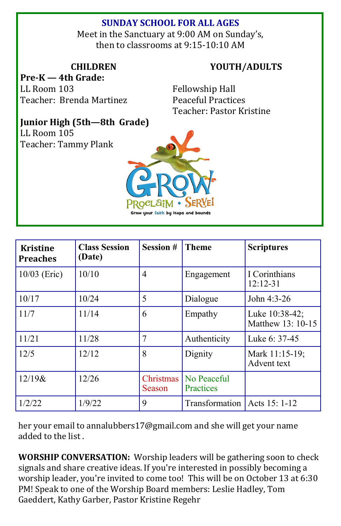# **SUNDAY SCHOOL FOR ALL AGES**

Meet in the Sanctuary at 9:00 AM on Sunday's, then to classrooms at 9:15-10:10 AM

### **CHILDREN**

**Pre-K — 4th Grade:**  LL Room 103 Teacher: Brenda Martinez **YOUTH/ADULTS**

Fellowship Hall Peaceful Practices Teacher: Pastor Kristine

# **Junior High (5th—8th Grade)**

LL Room 105 Teacher: Tammy Plank



| <b>Kristine</b><br><b>Preaches</b> | <b>Class Session</b><br>(Date) | <b>Session#</b>     | <b>Theme</b>                   | <b>Scriptures</b>                   |
|------------------------------------|--------------------------------|---------------------|--------------------------------|-------------------------------------|
| 10/03 (Eric)                       | 10/10                          | 4                   | Engagement                     | I Corinthians<br>$12:12-31$         |
| 10/17                              | 10/24                          | 5                   | Dialogue                       | John 4:3-26                         |
| 11/7                               | 11/14                          | 6                   | Empathy                        | Luke 10:38-42;<br>Matthew 13: 10-15 |
| 11/21                              | 11/28                          | 7                   | Authenticity                   | Luke 6: 37-45                       |
| 12/5                               | 12/12                          | 8                   | Dignity                        | Mark 11:15-19;<br>Advent text       |
| $12/19$ &                          | 12/26                          | Christmas<br>Season | No Peaceful<br>Practices       |                                     |
| 1/2/22                             | 1/9/22                         | 9                   | Transformation   Acts 15: 1-12 |                                     |

her your email to [annalubbers17@gmail.com](mailto:annalubbers17@gmail.com) and she will get your name added to the list .

**WORSHIP CONVERSATION:** Worship leaders will be gathering soon to check signals and share creative ideas. If you're interested in possibly becoming a worship leader, you're invited to come too! This will be on October 13 at 6:30 PM! Speak to one of the Worship Board members: Leslie Hadley, Tom Gaeddert, Kathy Garber, Pastor Kristine Regehr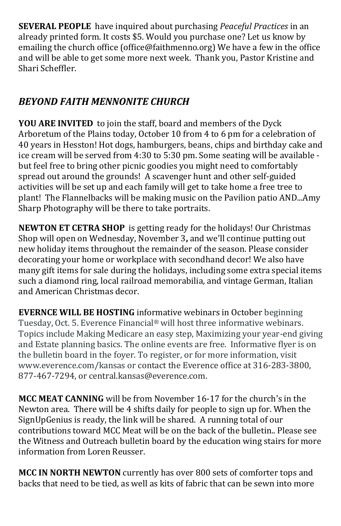**SEVERAL PEOPLE** have inquired about purchasing *Peaceful Practices* in an already printed form. It costs \$5. Would you purchase one? Let us know by emailing the church office (office@faithmenno.org) We have a few in the office and will be able to get some more next week. Thank you, Pastor Kristine and Shari Scheffler.

# *BEYOND FAITH MENNONITE CHURCH*

**YOU ARE INVITED** to join the staff, board and members of the Dyck Arboretum of the Plains today, October 10 from 4 to 6 pm for a celebration of 40 years in Hesston! Hot dogs, hamburgers, beans, chips and birthday cake and ice cream will be served from 4:30 to 5:30 pm. Some seating will be available but feel free to bring other picnic goodies you might need to comfortably spread out around the grounds! A scavenger hunt and other self-guided activities will be set up and each family will get to take home a free tree to plant! The Flannelbacks will be making music on the Pavilion patio AND...Amy Sharp Photography will be there to take portraits.

**NEWTON ET CETRA SHOP** is getting ready for the holidays! Our Christmas Shop will open on Wednesday, November 3**,** and we'll continue putting out new holiday items throughout the remainder of the season. Please consider decorating your home or workplace with secondhand decor! We also have many gift items for sale during the holidays, including some extra special items such a diamond ring, local railroad memorabilia, and vintage German, Italian and American Christmas decor.

**EVERNCE WILL BE HOSTING** informative webinars in October beginning Tuesday, Oct. 5. Everence Financial® will host three informative webinars. Topics include Making Medicare an easy step, Maximizing your year-end giving and Estate planning basics. The online events are free. Informative flyer is on the bulletin board in the foyer. To register, or for more information, visit www.everence.com/kansas or contact the Everence office at 316-283-3800, 877-467-7294, or central.kansas@everence.com.

**MCC MEAT CANNING** will be from November 16-17 for the church's in the Newton area. There will be 4 shifts daily for people to sign up for. When the SignUpGenius is ready, the link will be shared. A running total of our contributions toward MCC Meat will be on the back of the bulletin.. Please see the Witness and Outreach bulletin board by the education wing stairs for more information from Loren Reusser.

**MCC IN NORTH NEWTON** currently has over 800 sets of comforter tops and backs that need to be tied, as well as kits of fabric that can be sewn into more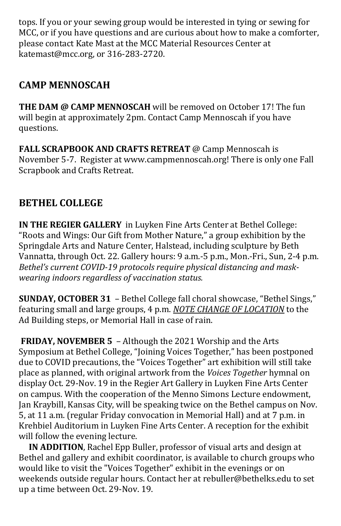tops. If you or your sewing group would be interested in tying or sewing for MCC, or if you have questions and are curious about how to make a comforter, please contact Kate Mast at the MCC Material Resources Center at [katemast@mcc.org,](mailto:katemast@mcc.org) or 316-283-2720.

# **CAMP MENNOSCAH**

**THE DAM @ CAMP MENNOSCAH** will be removed on October 17! The fun will begin at approximately 2pm. Contact Camp Mennoscah if you have questions.

**FALL SCRAPBOOK AND CRAFTS RETREAT** @ Camp Mennoscah is November 5-7. Register at [www.campmennoscah.org!](http://www.campmennoscah.org) There is only one Fall Scrapbook and Crafts Retreat.

# **BETHEL COLLEGE**

**IN THE REGIER GALLERY** in Luyken Fine Arts Center at Bethel College: "Roots and Wings: Our Gift from Mother Nature," a group exhibition by the Springdale Arts and Nature Center, Halstead, including sculpture by Beth Vannatta, through Oct. 22. Gallery hours: 9 a.m.-5 p.m., Mon.-Fri., Sun, 2-4 p.m. *Bethel's current COVID-19 protocols require physical distancing and maskwearing indoors regardless of vaccination status.*

**SUNDAY, OCTOBER 31** – Bethel College fall choral showcase, "Bethel Sings," featuring small and large groups, 4 p.m. *NOTE CHANGE OF LOCATION* to the Ad Building steps, or Memorial Hall in case of rain.

**FRIDAY, NOVEMBER 5** – Although the 2021 Worship and the Arts Symposium at Bethel College, "Joining Voices Together," has been postponed due to COVID precautions, the "Voices Together" art exhibition will still take place as planned, with original artwork from the *Voices Together* hymnal on display Oct. 29-Nov. 19 in the Regier Art Gallery in Luyken Fine Arts Center on campus. With the cooperation of the Menno Simons Lecture endowment, Jan Kraybill, Kansas City, will be speaking twice on the Bethel campus on Nov. 5, at 11 a.m. (regular Friday convocation in Memorial Hall) and at 7 p.m. in Krehbiel Auditorium in Luyken Fine Arts Center. A reception for the exhibit will follow the evening lecture.

**IN ADDITION**, Rachel Epp Buller, professor of visual arts and design at Bethel and gallery and exhibit coordinator, is available to church groups who would like to visit the "Voices Together" exhibit in the evenings or on weekends outside regular hours. Contact her at [rebuller@bethelks.edu](mailto:rebuller@bethelks.edu) to set up a time between Oct. 29-Nov. 19.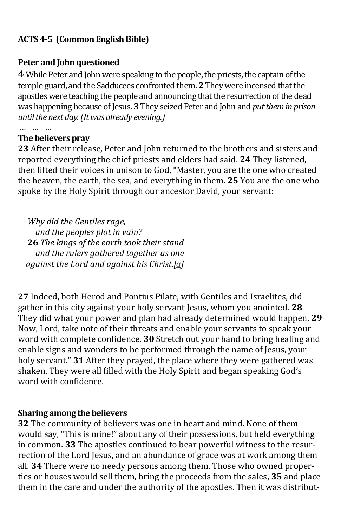## **ACTS 4-5 (Common English Bible)**

#### **Peter and John questioned**

**4** While Peter and John were speaking to the people, the priests, the captain of the temple guard, and the Sadducees confronted them. **2**They were incensed that the apostles were teaching the people and announcing that the resurrection of the dead was happening because of Jesus. **3**They seized Peter and John and *put them in prison until the next day. (It was already evening.)* 

## **The believers pray**

*… … …* 

**23** After their release, Peter and John returned to the brothers and sisters and reported everything the chief priests and elders had said. **24** They listened, then lifted their voices in unison to God, "Master, you are the one who created the heaven, the earth, the sea, and everything in them. **25** You are the one who spoke by the Holy Spirit through our ancestor David, your servant:

*Why did the Gentiles rage, and the peoples plot in vain?* **26** *The kings of the earth took their stand and the rulers gathered together as one against the Lord and against his Christ.[\[a\]](https://www.biblegateway.com/passage/?search=Acts%204&version=CEB#fen-CEB-27037a)*

**27** Indeed, both Herod and Pontius Pilate, with Gentiles and Israelites, did gather in this city against your holy servant Jesus, whom you anointed. **28**  They did what your power and plan had already determined would happen. **29**  Now, Lord, take note of their threats and enable your servants to speak your word with complete confidence. **30** Stretch out your hand to bring healing and enable signs and wonders to be performed through the name of Jesus, your holy servant." **31** After they prayed, the place where they were gathered was shaken. They were all filled with the Holy Spirit and began speaking God's word with confidence.

#### **Sharing among the believers**

**32** The community of believers was one in heart and mind. None of them would say, "This is mine!" about any of their possessions, but held everything in common. **33** The apostles continued to bear powerful witness to the resurrection of the Lord Jesus, and an abundance of grace was at work among them all. **34** There were no needy persons among them. Those who owned properties or houses would sell them, bring the proceeds from the sales, **35** and place them in the care and under the authority of the apostles. Then it was distribut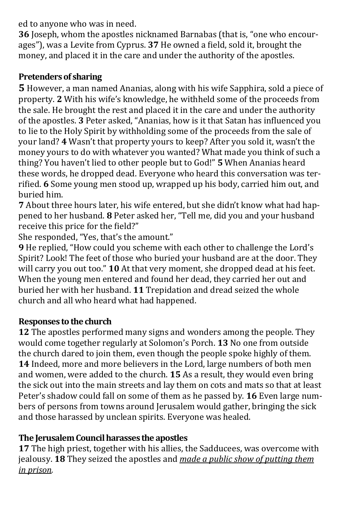ed to anyone who was in need.

**36** Joseph, whom the apostles nicknamed Barnabas (that is, "one who encourages"), was a Levite from Cyprus. **37** He owned a field, sold it, brought the money, and placed it in the care and under the authority of the apostles.

## **Pretenders of sharing**

**5** However, a man named Ananias, along with his wife Sapphira, sold a piece of property. **2** With his wife's knowledge, he withheld some of the proceeds from the sale. He brought the rest and placed it in the care and under the authority of the apostles. **3** Peter asked, "Ananias, how is it that Satan has influenced you to lie to the Holy Spirit by withholding some of the proceeds from the sale of your land? **4** Wasn't that property yours to keep? After you sold it, wasn't the money yours to do with whatever you wanted? What made you think of such a thing? You haven't lied to other people but to God!" **5** When Ananias heard these words, he dropped dead. Everyone who heard this conversation was terrified. **6** Some young men stood up, wrapped up his body, carried him out, and buried him.

**7** About three hours later, his wife entered, but she didn't know what had happened to her husband. **8** Peter asked her, "Tell me, did you and your husband receive this price for the field?"

She responded, "Yes, that's the amount."

**9** He replied, "How could you scheme with each other to challenge the Lord's Spirit? Look! The feet of those who buried your husband are at the door. They will carry you out too." **10** At that very moment, she dropped dead at his feet. When the young men entered and found her dead, they carried her out and buried her with her husband. **11** Trepidation and dread seized the whole church and all who heard what had happened.

## **Responses to the church**

**12** The apostles performed many signs and wonders among the people. They would come together regularly at Solomon's Porch. **13** No one from outside the church dared to join them, even though the people spoke highly of them. **14** Indeed, more and more believers in the Lord, large numbers of both men and women, were added to the church. **15** As a result, they would even bring the sick out into the main streets and lay them on cots and mats so that at least Peter's shadow could fall on some of them as he passed by. **16** Even large numbers of persons from towns around Jerusalem would gather, bringing the sick and those harassed by unclean spirits. Everyone was healed.

## **The Jerusalem Council harasses the apostles**

**17** The high priest, together with his allies, the Sadducees, was overcome with jealousy. **18** They seized the apostles and *made a public show of putting them in prison.*